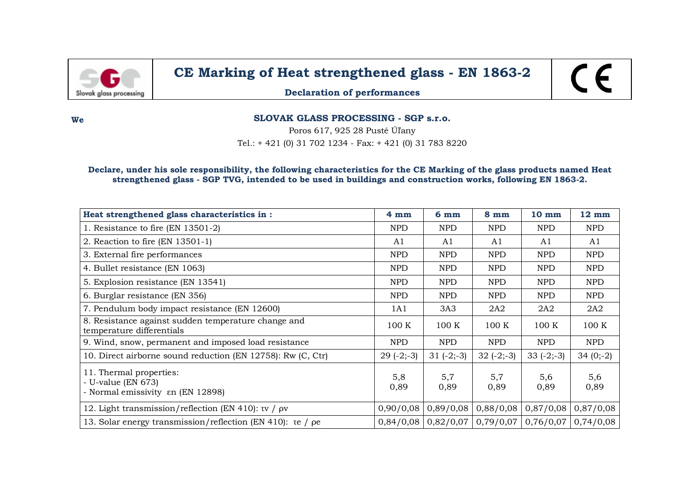

## **CE Marking of Heat strengthened glass - EN 1863-2**

**Declaration of performances**

**We SLOVAK GLASS PROCESSING - SGP s.r.o.**

Poros 617, 925 28 Pusté Úľany

Tel.: + 421 (0) 31 702 1234 - Fax: + 421 (0) 31 783 8220

## **Declare, under his sole responsibility, the following characteristics for the CE Marking of the glass products named Heat strengthened glass - SGP TVG, intended to be used in buildings and construction works, following EN 1863-2.**

| Heat strengthened glass characteristics in :                                       | 4mm         | 6 <sub>mm</sub> | $8 \text{ mm}$ | 10 mm       | $12 \text{ mm}$ |
|------------------------------------------------------------------------------------|-------------|-----------------|----------------|-------------|-----------------|
| 1. Resistance to fire (EN 13501-2)                                                 | <b>NPD</b>  | <b>NPD</b>      | <b>NPD</b>     | <b>NPD</b>  | <b>NPD</b>      |
| 2. Reaction to fire (EN 13501-1)                                                   | A1          | A1              | A1             | A1          | A1              |
| 3. External fire performances                                                      | <b>NPD</b>  | <b>NPD</b>      | <b>NPD</b>     | <b>NPD</b>  | <b>NPD</b>      |
| 4. Bullet resistance (EN 1063)                                                     | <b>NPD</b>  | <b>NPD</b>      | <b>NPD</b>     | NPD         | <b>NPD</b>      |
| 5. Explosion resistance (EN 13541)                                                 | <b>NPD</b>  | NPD             | <b>NPD</b>     | <b>NPD</b>  | <b>NPD</b>      |
| 6. Burglar resistance (EN 356)                                                     | <b>NPD</b>  | <b>NPD</b>      | <b>NPD</b>     | <b>NPD</b>  | <b>NPD</b>      |
| 7. Pendulum body impact resistance (EN 12600)                                      | 1A1         | 3A3             | 2A2            | 2A2         | 2A2             |
| 8. Resistance against sudden temperature change and<br>temperature differentials   | 100K        | 100 K           | 100K           | 100K        | 100 K           |
| 9. Wind, snow, permanent and imposed load resistance                               | <b>NPD</b>  | <b>NPD</b>      | <b>NPD</b>     | <b>NPD</b>  | <b>NPD</b>      |
| 10. Direct airborne sound reduction (EN 12758): Rw (C, Ctr)                        | $29(-2;-3)$ | $31 (-2,-3)$    | $32(-2,-3)$    | $33(-2,-3)$ | $34(0,-2)$      |
| 11. Thermal properties:<br>- U-value (EN 673)<br>- Normal emissivity en (EN 12898) | 5,8<br>0,89 | 5,7<br>0,89     | 5,7<br>0,89    | 5,6<br>0,89 | 5,6<br>0,89     |
| 12. Light transmission/reflection (EN 410): $\tau v$ / $\rho v$                    | 0,90/0,08   | 0,89/0,08       | 0,88/0,08      | 0,87/0,08   | 0,87/0,08       |
| 13. Solar energy transmission/reflection (EN 410): te / pe                         | 0,84/0,08   | 0,82/0,07       | 0,79/0,07      | 0,76/0,07   | 0,74/0,08       |